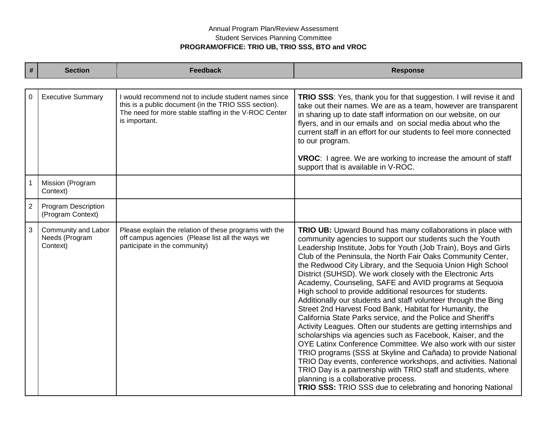## Annual Program Plan/Review Assessment Student Services Planning Committee **PROGRAM/OFFICE: TRIO UB, TRIO SSS, BTO and VROC**

| #              | <b>Section</b>                                    | <b>Feedback</b>                                                                                                                                                                        | <b>Response</b>                                                                                                                                                                                                                                                                                                                                                                                                                                                                                                                                                                                                                                                                                                                                                                                                                                                                                                                                                                                                                                                                                                                                                                                                               |
|----------------|---------------------------------------------------|----------------------------------------------------------------------------------------------------------------------------------------------------------------------------------------|-------------------------------------------------------------------------------------------------------------------------------------------------------------------------------------------------------------------------------------------------------------------------------------------------------------------------------------------------------------------------------------------------------------------------------------------------------------------------------------------------------------------------------------------------------------------------------------------------------------------------------------------------------------------------------------------------------------------------------------------------------------------------------------------------------------------------------------------------------------------------------------------------------------------------------------------------------------------------------------------------------------------------------------------------------------------------------------------------------------------------------------------------------------------------------------------------------------------------------|
|                |                                                   |                                                                                                                                                                                        |                                                                                                                                                                                                                                                                                                                                                                                                                                                                                                                                                                                                                                                                                                                                                                                                                                                                                                                                                                                                                                                                                                                                                                                                                               |
| $\mathbf 0$    | <b>Executive Summary</b>                          | I would recommend not to include student names since<br>this is a public document (in the TRIO SSS section).<br>The need for more stable staffing in the V-ROC Center<br>is important. | <b>TRIO SSS:</b> Yes, thank you for that suggestion. I will revise it and<br>take out their names. We are as a team, however are transparent<br>in sharing up to date staff information on our website, on our<br>flyers, and in our emails and on social media about who the<br>current staff in an effort for our students to feel more connected<br>to our program.<br>VROC: I agree. We are working to increase the amount of staff                                                                                                                                                                                                                                                                                                                                                                                                                                                                                                                                                                                                                                                                                                                                                                                       |
|                |                                                   |                                                                                                                                                                                        | support that is available in V-ROC.                                                                                                                                                                                                                                                                                                                                                                                                                                                                                                                                                                                                                                                                                                                                                                                                                                                                                                                                                                                                                                                                                                                                                                                           |
|                | Mission (Program<br>Context)                      |                                                                                                                                                                                        |                                                                                                                                                                                                                                                                                                                                                                                                                                                                                                                                                                                                                                                                                                                                                                                                                                                                                                                                                                                                                                                                                                                                                                                                                               |
| $\overline{2}$ | Program Description<br>(Program Context)          |                                                                                                                                                                                        |                                                                                                                                                                                                                                                                                                                                                                                                                                                                                                                                                                                                                                                                                                                                                                                                                                                                                                                                                                                                                                                                                                                                                                                                                               |
| $\mathbf{3}$   | Community and Labor<br>Needs (Program<br>Context) | Please explain the relation of these programs with the<br>off campus agencies (Please list all the ways we<br>participate in the community)                                            | TRIO UB: Upward Bound has many collaborations in place with<br>community agencies to support our students such the Youth<br>Leadership Institute, Jobs for Youth (Job Train), Boys and Girls<br>Club of the Peninsula, the North Fair Oaks Community Center,<br>the Redwood City Library, and the Sequoia Union High School<br>District (SUHSD). We work closely with the Electronic Arts<br>Academy, Counseling, SAFE and AVID programs at Sequoia<br>High school to provide additional resources for students.<br>Additionally our students and staff volunteer through the Bing<br>Street 2nd Harvest Food Bank, Habitat for Humanity, the<br>California State Parks service, and the Police and Sheriff's<br>Activity Leagues. Often our students are getting internships and<br>scholarships via agencies such as Facebook, Kaiser, and the<br>OYE Latinx Conference Committee. We also work with our sister<br>TRIO programs (SSS at Skyline and Cañada) to provide National<br>TRIO Day events, conference workshops, and activities. National<br>TRIO Day is a partnership with TRIO staff and students, where<br>planning is a collaborative process.<br>TRIO SSS: TRIO SSS due to celebrating and honoring National |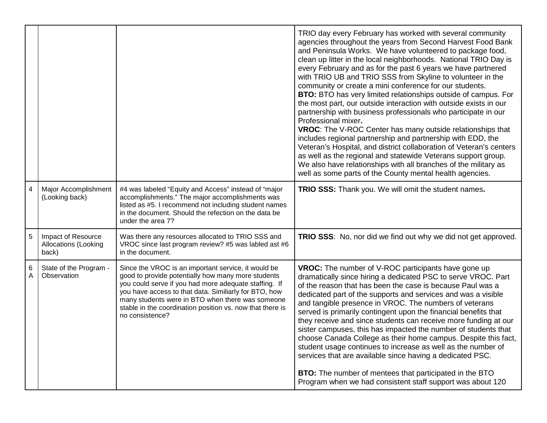|   |                                                            |                                                                                                                                                                                                                                                                                                                                                                 | TRIO day every February has worked with several community<br>agencies throughout the years from Second Harvest Food Bank<br>and Peninsula Works. We have volunteered to package food,<br>clean up litter in the local neighborhoods. National TRIO Day is<br>every February and as for the past 6 years we have partnered<br>with TRIO UB and TRIO SSS from Skyline to volunteer in the<br>community or create a mini conference for our students.<br><b>BTO:</b> BTO has very limited relationships outside of campus. For<br>the most part, our outside interaction with outside exists in our<br>partnership with business professionals who participate in our<br>Professional mixer.<br><b>VROC:</b> The V-ROC Center has many outside relationships that<br>includes regional partnership and partnership with EDD, the<br>Veteran's Hospital, and district collaboration of Veteran's centers<br>as well as the regional and statewide Veterans support group.<br>We also have relationships with all branches of the military as<br>well as some parts of the County mental health agencies. |
|---|------------------------------------------------------------|-----------------------------------------------------------------------------------------------------------------------------------------------------------------------------------------------------------------------------------------------------------------------------------------------------------------------------------------------------------------|------------------------------------------------------------------------------------------------------------------------------------------------------------------------------------------------------------------------------------------------------------------------------------------------------------------------------------------------------------------------------------------------------------------------------------------------------------------------------------------------------------------------------------------------------------------------------------------------------------------------------------------------------------------------------------------------------------------------------------------------------------------------------------------------------------------------------------------------------------------------------------------------------------------------------------------------------------------------------------------------------------------------------------------------------------------------------------------------------|
| 4 | Major Accomplishment<br>(Looking back)                     | #4 was labeled "Equity and Access" instead of "major<br>accomplishments." The major accomplishments was<br>listed as #5. I recommend not including student names<br>in the document. Should the refection on the data be<br>under the area 7?                                                                                                                   | TRIO SSS: Thank you. We will omit the student names.                                                                                                                                                                                                                                                                                                                                                                                                                                                                                                                                                                                                                                                                                                                                                                                                                                                                                                                                                                                                                                                 |
| 5 | Impact of Resource<br><b>Allocations (Looking</b><br>back) | Was there any resources allocated to TRIO SSS and<br>VROC since last program review? #5 was labled ast #6<br>in the document.                                                                                                                                                                                                                                   | <b>TRIO SSS:</b> No, nor did we find out why we did not get approved.                                                                                                                                                                                                                                                                                                                                                                                                                                                                                                                                                                                                                                                                                                                                                                                                                                                                                                                                                                                                                                |
| 6 | State of the Program -<br>Observation                      | Since the VROC is an important service, it would be<br>good to provide potentially how many more students<br>you could serve if you had more adequate staffing. If<br>you have access to that data. Similiarly for BTO, how<br>many students were in BTO when there was someone<br>stable in the coordination position vs. now that there is<br>no consistence? | <b>VROC:</b> The number of V-ROC participants have gone up<br>dramatically since hiring a dedicated PSC to serve VROC. Part<br>of the reason that has been the case is because Paul was a<br>dedicated part of the supports and services and was a visible<br>and tangible presence in VROC. The numbers of veterans<br>served is primarily contingent upon the financial benefits that<br>they receive and since students can receive more funding at our<br>sister campuses, this has impacted the number of students that<br>choose Canada College as their home campus. Despite this fact,<br>student usage continues to increase as well as the number of<br>services that are available since having a dedicated PSC.<br>BTO: The number of mentees that participated in the BTO<br>Program when we had consistent staff support was about 120                                                                                                                                                                                                                                                 |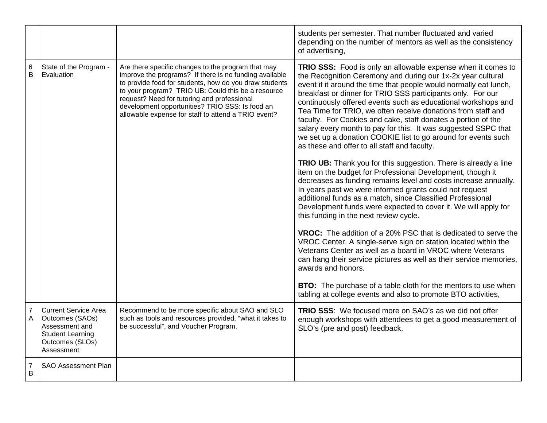|                     |                                                                                                                              |                                                                                                                                                                                                                                                                                                                                                                                       | students per semester. That number fluctuated and varied<br>depending on the number of mentors as well as the consistency<br>of advertising,                                                                                                                                                                                                                                                                                                                                                                                                                                                                                                                                                                                                                                                                                                                                                                                                                                                                                                                                                                                                                                                                                                                                                                                                                                                             |
|---------------------|------------------------------------------------------------------------------------------------------------------------------|---------------------------------------------------------------------------------------------------------------------------------------------------------------------------------------------------------------------------------------------------------------------------------------------------------------------------------------------------------------------------------------|----------------------------------------------------------------------------------------------------------------------------------------------------------------------------------------------------------------------------------------------------------------------------------------------------------------------------------------------------------------------------------------------------------------------------------------------------------------------------------------------------------------------------------------------------------------------------------------------------------------------------------------------------------------------------------------------------------------------------------------------------------------------------------------------------------------------------------------------------------------------------------------------------------------------------------------------------------------------------------------------------------------------------------------------------------------------------------------------------------------------------------------------------------------------------------------------------------------------------------------------------------------------------------------------------------------------------------------------------------------------------------------------------------|
| 6<br>B              | State of the Program -<br>Evaluation                                                                                         | Are there specific changes to the program that may<br>improve the programs? If there is no funding available<br>to provide food for students, how do you draw students<br>to your program? TRIO UB: Could this be a resource<br>request? Need for tutoring and professional<br>development opportunities? TRIO SSS: Is food an<br>allowable expense for staff to attend a TRIO event? | TRIO SSS: Food is only an allowable expense when it comes to<br>the Recognition Ceremony and during our 1x-2x year cultural<br>event if it around the time that people would normally eat lunch,<br>breakfast or dinner for TRIO SSS participants only. For our<br>continuously offered events such as educational workshops and<br>Tea Time for TRIO, we often receive donations from staff and<br>faculty. For Cookies and cake, staff donates a portion of the<br>salary every month to pay for this. It was suggested SSPC that<br>we set up a donation COOKIE list to go around for events such<br>as these and offer to all staff and faculty.<br><b>TRIO UB:</b> Thank you for this suggestion. There is already a line<br>item on the budget for Professional Development, though it<br>decreases as funding remains level and costs increase annually.<br>In years past we were informed grants could not request<br>additional funds as a match, since Classified Professional<br>Development funds were expected to cover it. We will apply for<br>this funding in the next review cycle.<br><b>VROC:</b> The addition of a 20% PSC that is dedicated to serve the<br>VROC Center. A single-serve sign on station located within the<br>Veterans Center as well as a board in VROC where Veterans<br>can hang their service pictures as well as their service memories,<br>awards and honors. |
|                     |                                                                                                                              |                                                                                                                                                                                                                                                                                                                                                                                       | <b>BTO:</b> The purchase of a table cloth for the mentors to use when<br>tabling at college events and also to promote BTO activities,                                                                                                                                                                                                                                                                                                                                                                                                                                                                                                                                                                                                                                                                                                                                                                                                                                                                                                                                                                                                                                                                                                                                                                                                                                                                   |
| $\overline{7}$<br>A | <b>Current Service Area</b><br>Outcomes (SAOs)<br>Assessment and<br><b>Student Learning</b><br>Outcomes (SLOs)<br>Assessment | Recommend to be more specific about SAO and SLO<br>such as tools and resources provided, "what it takes to<br>be successful", and Voucher Program.                                                                                                                                                                                                                                    | TRIO SSS: We focused more on SAO's as we did not offer<br>enough workshops with attendees to get a good measurement of<br>SLO's (pre and post) feedback.                                                                                                                                                                                                                                                                                                                                                                                                                                                                                                                                                                                                                                                                                                                                                                                                                                                                                                                                                                                                                                                                                                                                                                                                                                                 |
| $\overline{7}$<br>B | <b>SAO Assessment Plan</b>                                                                                                   |                                                                                                                                                                                                                                                                                                                                                                                       |                                                                                                                                                                                                                                                                                                                                                                                                                                                                                                                                                                                                                                                                                                                                                                                                                                                                                                                                                                                                                                                                                                                                                                                                                                                                                                                                                                                                          |